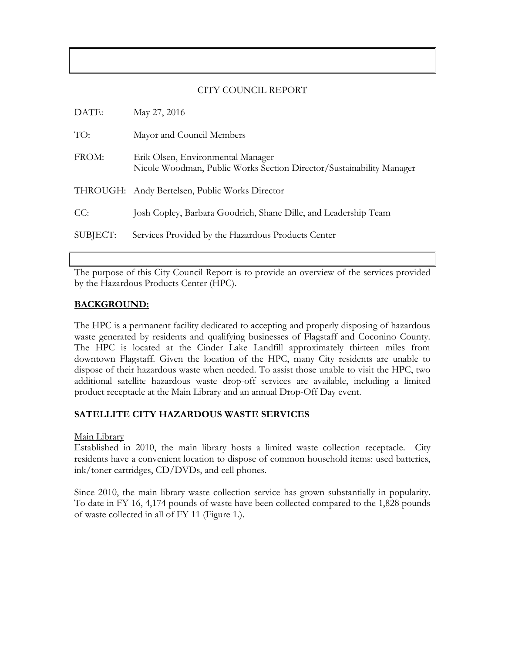### CITY COUNCIL REPORT

| DATE:    | May 27, 2016                                                                                              |
|----------|-----------------------------------------------------------------------------------------------------------|
| TO:      | Mayor and Council Members                                                                                 |
| FROM:    | Erik Olsen, Environmental Manager<br>Nicole Woodman, Public Works Section Director/Sustainability Manager |
|          | THROUGH: Andy Bertelsen, Public Works Director                                                            |
| CC:      | Josh Copley, Barbara Goodrich, Shane Dille, and Leadership Team                                           |
| SUBJECT: | Services Provided by the Hazardous Products Center                                                        |

The purpose of this City Council Report is to provide an overview of the services provided by the Hazardous Products Center (HPC).

#### **BACKGROUND:**

The HPC is a permanent facility dedicated to accepting and properly disposing of hazardous waste generated by residents and qualifying businesses of Flagstaff and Coconino County. The HPC is located at the Cinder Lake Landfill approximately thirteen miles from downtown Flagstaff. Given the location of the HPC, many City residents are unable to dispose of their hazardous waste when needed. To assist those unable to visit the HPC, two additional satellite hazardous waste drop-off services are available, including a limited product receptacle at the Main Library and an annual Drop-Off Day event.

### **SATELLITE CITY HAZARDOUS WASTE SERVICES**

Main Library

Established in 2010, the main library hosts a limited waste collection receptacle. City residents have a convenient location to dispose of common household items: used batteries, ink/toner cartridges, CD/DVDs, and cell phones.

Since 2010, the main library waste collection service has grown substantially in popularity. To date in FY 16, 4,174 pounds of waste have been collected compared to the 1,828 pounds of waste collected in all of FY 11 (Figure 1.).